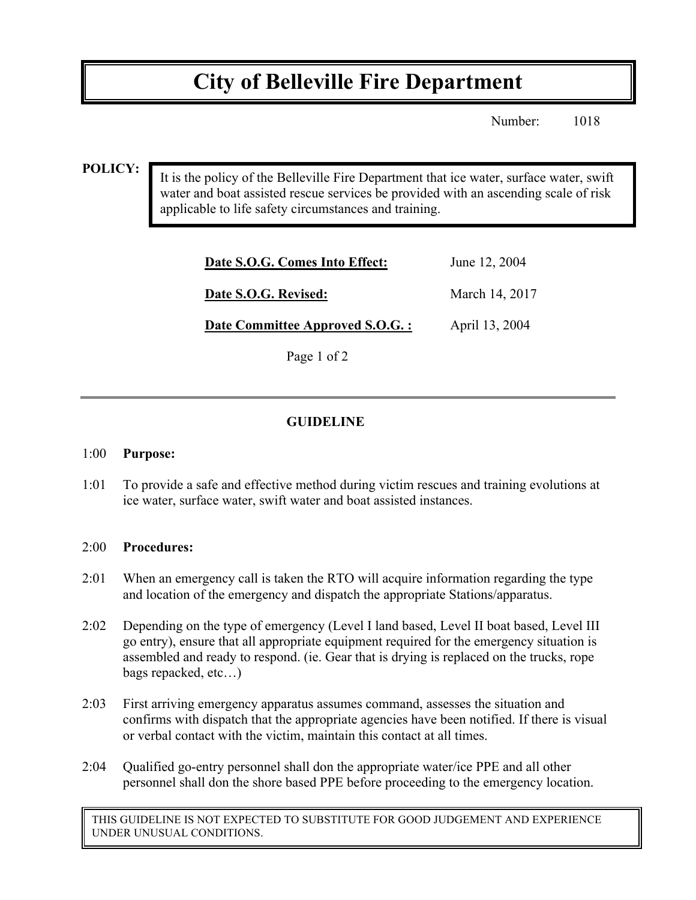# **City of Belleville Fire Department**

Number: 1018

#### **POLICY:**

It is the policy of the Belleville Fire Department that ice water, surface water, swift water and boat assisted rescue services be provided with an ascending scale of risk applicable to life safety circumstances and training.

| Date S.O.G. Comes Into Effect:   | June 12, 2004  |
|----------------------------------|----------------|
| Date S.O.G. Revised:             | March 14, 2017 |
| Date Committee Approved S.O.G. : | April 13, 2004 |
| Page 1 of 2                      |                |

### **GUIDELINE**

#### 1:00 **Purpose:**

1:01 To provide a safe and effective method during victim rescues and training evolutions at ice water, surface water, swift water and boat assisted instances.

#### 2:00 **Procedures:**

- 2:01 When an emergency call is taken the RTO will acquire information regarding the type and location of the emergency and dispatch the appropriate Stations/apparatus.
- 2:02 Depending on the type of emergency (Level I land based, Level II boat based, Level III go entry), ensure that all appropriate equipment required for the emergency situation is assembled and ready to respond. (ie. Gear that is drying is replaced on the trucks, rope bags repacked, etc…)
- 2:03 First arriving emergency apparatus assumes command, assesses the situation and confirms with dispatch that the appropriate agencies have been notified. If there is visual or verbal contact with the victim, maintain this contact at all times.
- 2:04 Qualified go-entry personnel shall don the appropriate water/ice PPE and all other personnel shall don the shore based PPE before proceeding to the emergency location.

THIS GUIDELINE IS NOT EXPECTED TO SUBSTITUTE FOR GOOD JUDGEMENT AND EXPERIENCE UNDER UNUSUAL CONDITIONS.